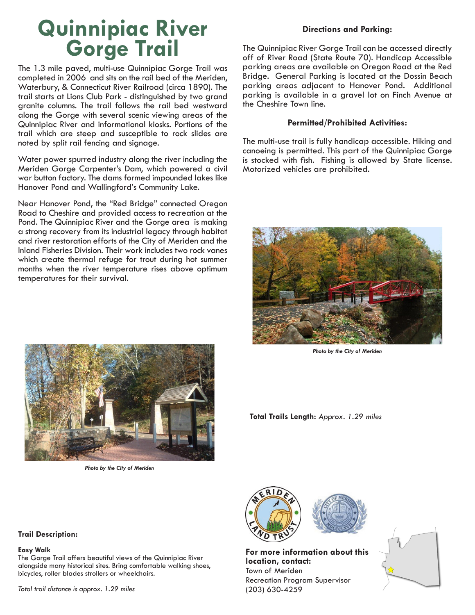## **Quinnipiac River Gorge Trail**

The 1.3 mile paved, multi-use Quinnipiac Gorge Trail was completed in 2006 and sits on the rail bed of the Meriden, Waterbury, & Connecticut River Railroad (circa 1890). The trail starts at Lions Club Park - distinguished by two grand granite columns. The trail follows the rail bed westward along the Gorge with several scenic viewing areas of the Quinnipiac River and informational kiosks. Portions of the trail which are steep and susceptible to rock slides are noted by split rail fencing and signage.

Water power spurred industry along the river including the Meriden Gorge Carpenter's Dam, which powered a civil war button factory. The dams formed impounded lakes like Hanover Pond and Wallingford's Community Lake.

Near Hanover Pond, the "Red Bridge" connected Oregon Road to Cheshire and provided access to recreation at the Pond. The Quinnipiac River and the Gorge area is making a strong recovery from its industrial legacy through habitat and river restoration efforts of the City of Meriden and the Inland Fisheries Division. Their work includes two rock vanes which create thermal refuge for trout during hot summer months when the river temperature rises above optimum temperatures for their survival.



The Quinnipiac River Gorge Trail can be accessed directly off of River Road (State Route 70). Handicap Accessible parking areas are available on Oregon Road at the Red Bridge. General Parking is located at the Dossin Beach parking areas adjacent to Hanover Pond. Additional parking is available in a gravel lot on Finch Avenue at the Cheshire Town line.

## **Permitted/Prohibited Activities:**

The multi-use trail is fully handicap accessible. Hiking and canoeing is permitted. This part of the Quinnipiac Gorge is stocked with fish. Fishing is allowed by State license. Motorized vehicles are prohibited.



*Photo by the City of Meriden*



*Photo by the City of Meriden*

**Total Trails Length:** *Approx. 1.29 miles*

## **Trail Description:**

## **Easy Walk**

The Gorge Trail offers beautiful views of the Quinnipiac River alongside many historical sites. Bring comfortable walking shoes, bicycles, roller blades strollers or wheelchairs.

*Total trail distance is approx. 1.29 miles*



**For more information about this location, contact:** Town of Meriden Recreation Program Supervisor (203) 630-4259